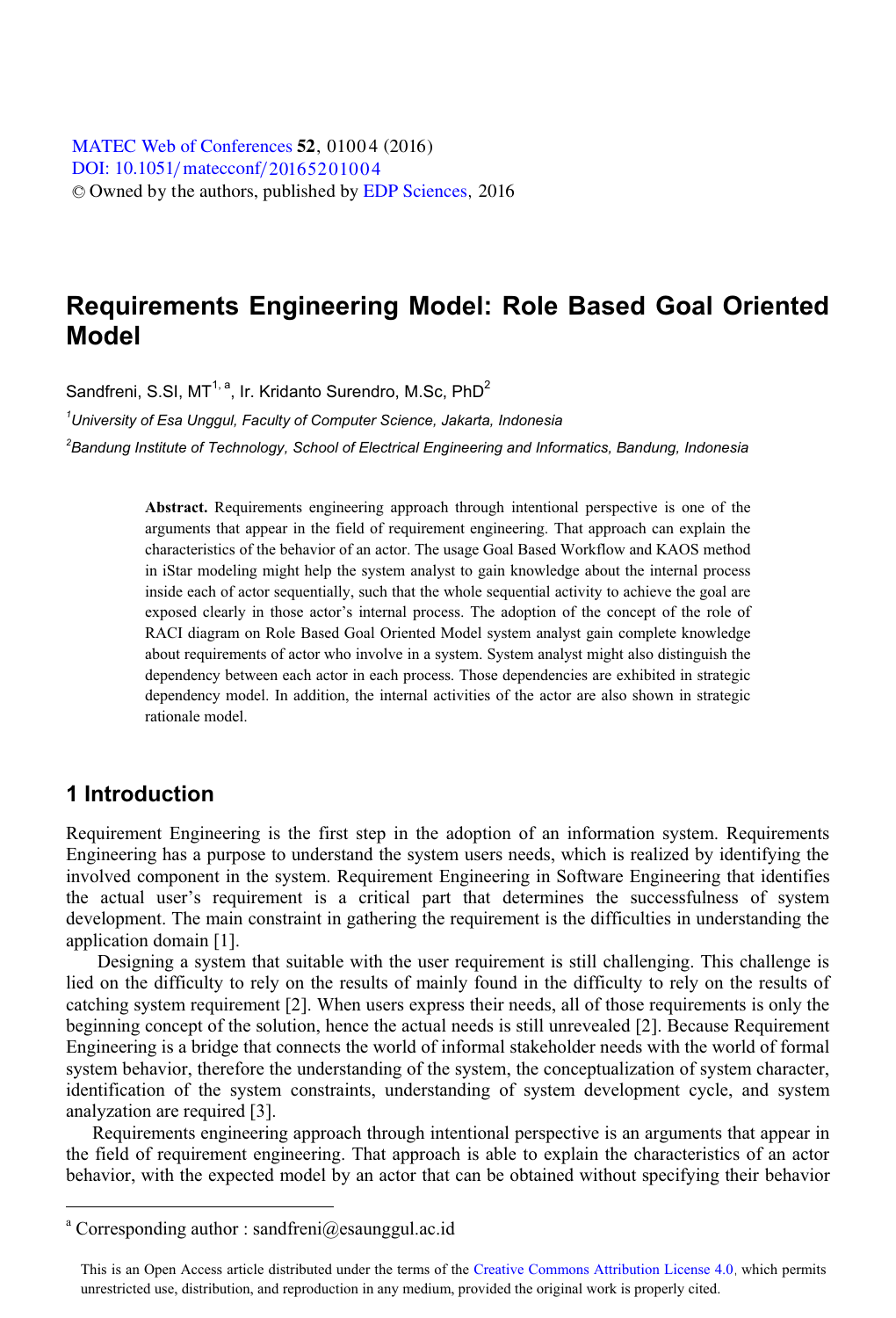# **Requirements Engineering Model: Role Based Goal Oriented Model**

Sandfreni, S.SI, MT<sup>1, a</sup>, Ir. Kridanto Surendro, M.Sc, PhD<sup>2</sup>

*1 University of Esa Unggul, Faculty of Computer Science, Jakarta, Indonesia 2 Bandung Institute of Technology, School of Electrical Engineering and Informatics, Bandung, Indonesia* 

> **Abstract.** Requirements engineering approach through intentional perspective is one of the arguments that appear in the field of requirement engineering. That approach can explain the characteristics of the behavior of an actor. The usage Goal Based Workflow and KAOS method in iStar modeling might help the system analyst to gain knowledge about the internal process inside each of actor sequentially, such that the whole sequential activity to achieve the goal are exposed clearly in those actor's internal process. The adoption of the concept of the role of RACI diagram on Role Based Goal Oriented Model system analyst gain complete knowledge about requirements of actor who involve in a system. System analyst might also distinguish the dependency between each actor in each process. Those dependencies are exhibited in strategic dependency model. In addition, the internal activities of the actor are also shown in strategic rationale model.

## **1 Introduction**

 $\overline{a}$ 

Requirement Engineering is the first step in the adoption of an information system. Requirements Engineering has a purpose to understand the system users needs, which is realized by identifying the involved component in the system. Requirement Engineering in Software Engineering that identifies the actual user's requirement is a critical part that determines the successfulness of system development. The main constraint in gathering the requirement is the difficulties in understanding the application domain [1].

 Designing a system that suitable with the user requirement is still challenging. This challenge is lied on the difficulty to rely on the results of mainly found in the difficulty to rely on the results of catching system requirement [2]. When users express their needs, all of those requirements is only the beginning concept of the solution, hence the actual needs is still unrevealed [2]. Because Requirement Engineering is a bridge that connects the world of informal stakeholder needs with the world of formal system behavior, therefore the understanding of the system, the conceptualization of system character, identification of the system constraints, understanding of system development cycle, and system analyzation are required [3].

Requirements engineering approach through intentional perspective is an arguments that appear in the field of requirement engineering. That approach is able to explain the characteristics of an actor behavior, with the expected model by an actor that can be obtained without specifying their behavior

a Corresponding author : sandfreni@esaunggul.ac.id

This is an Open Access article distributed under the terms of the Creative Commons Attribution License 4.0, which permits unrestricted use, distribution, and reproduction in any medium, provided the original work is properly cited.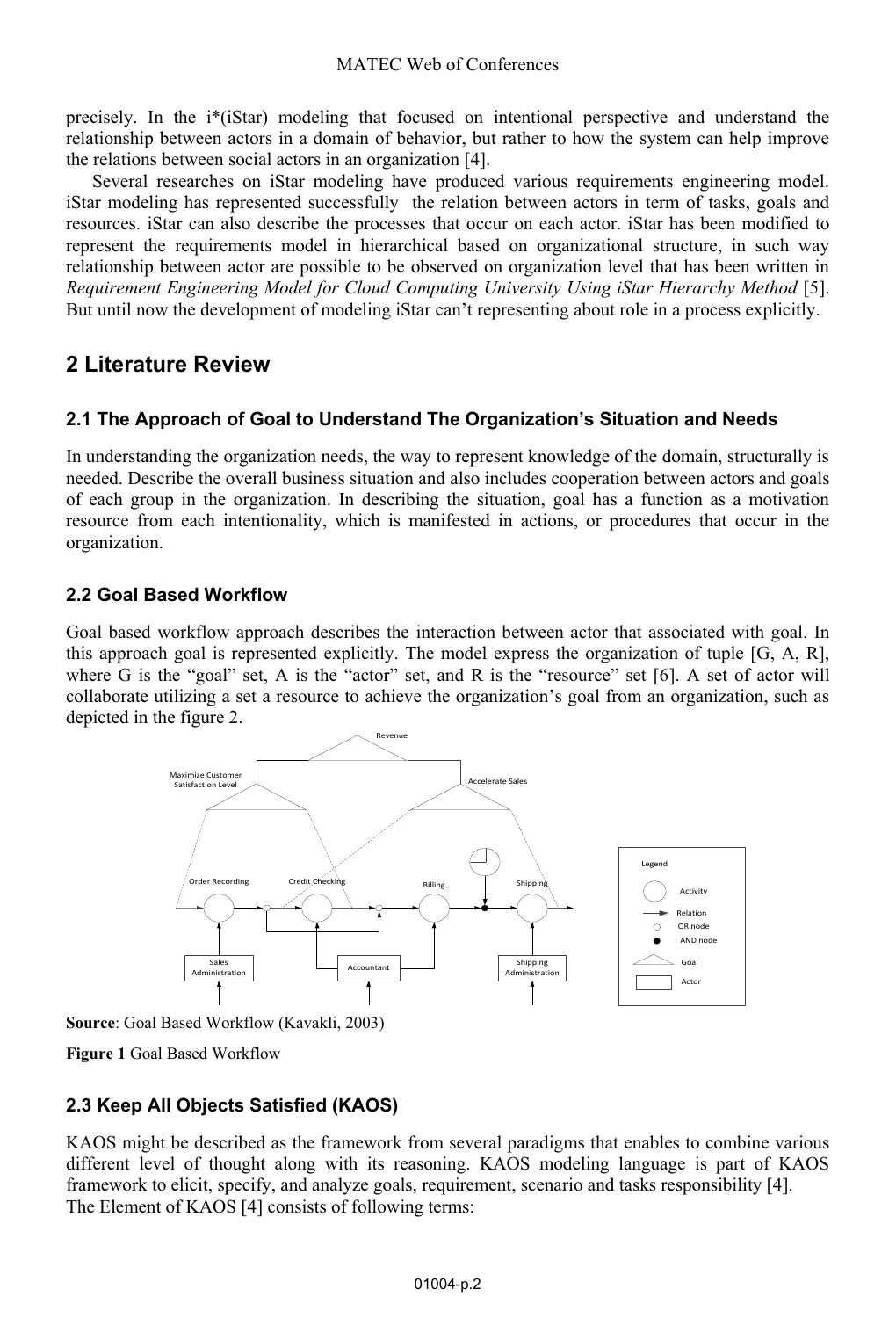precisely. In the i\*(iStar) modeling that focused on intentional perspective and understand the relationship between actors in a domain of behavior, but rather to how the system can help improve the relations between social actors in an organization [4].

Several researches on iStar modeling have produced various requirements engineering model. iStar modeling has represented successfully the relation between actors in term of tasks, goals and resources. iStar can also describe the processes that occur on each actor. iStar has been modified to represent the requirements model in hierarchical based on organizational structure, in such way relationship between actor are possible to be observed on organization level that has been written in *Requirement Engineering Model for Cloud Computing University Using iStar Hierarchy Method* [5]. But until now the development of modeling iStar can't representing about role in a process explicitly.

# **2 Literature Review**

### **2.1 The Approach of Goal to Understand The Organization's Situation and Needs**

In understanding the organization needs, the way to represent knowledge of the domain, structurally is needed. Describe the overall business situation and also includes cooperation between actors and goals of each group in the organization. In describing the situation, goal has a function as a motivation resource from each intentionality, which is manifested in actions, or procedures that occur in the organization.

## **2.2 Goal Based Workflow**

Goal based workflow approach describes the interaction between actor that associated with goal. In this approach goal is represented explicitly. The model express the organization of tuple [G, A, R], where G is the "goal" set, A is the "actor" set, and R is the "resource" set [6]. A set of actor will collaborate utilizing a set a resource to achieve the organization's goal from an organization, such as depicted in the figure 2.



**Source**: Goal Based Workflow (Kavakli, 2003)

**Figure 1** Goal Based Workflow

## **2.3 Keep All Objects Satisfied (KAOS)**

KAOS might be described as the framework from several paradigms that enables to combine various different level of thought along with its reasoning. KAOS modeling language is part of KAOS framework to elicit, specify, and analyze goals, requirement, scenario and tasks responsibility [4]. The Element of KAOS [4] consists of following terms: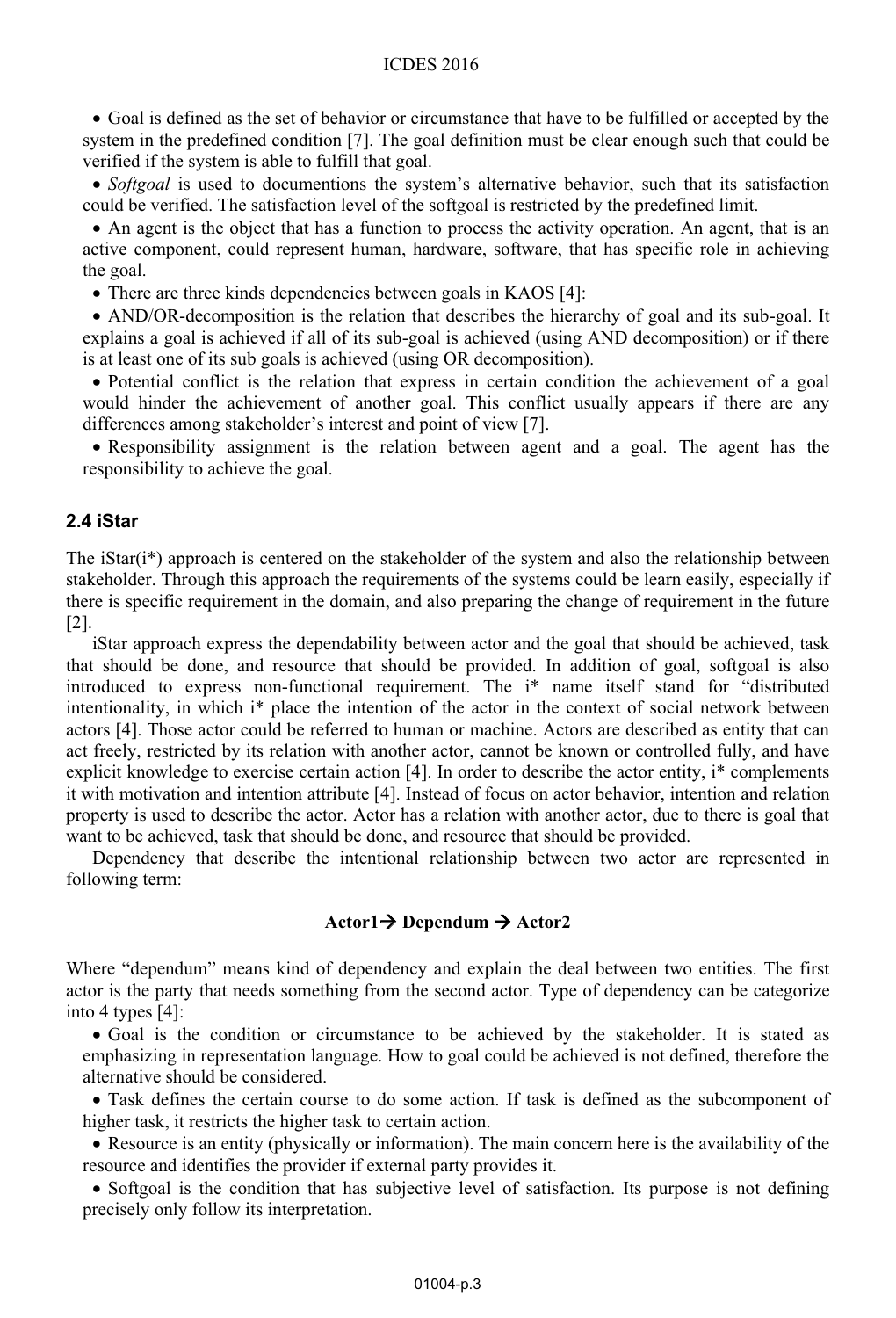- Goal is defined as the set of behavior or circumstance that have to be fulfilled or accepted by the system in the predefined condition [7]. The goal definition must be clear enough such that could be verified if the system is able to fulfill that goal.

- *Softgoal* is used to documentions the system's alternative behavior, such that its satisfaction could be verified. The satisfaction level of the softgoal is restricted by the predefined limit.

- An agent is the object that has a function to process the activity operation. An agent, that is an active component, could represent human, hardware, software, that has specific role in achieving the goal.

- There are three kinds dependencies between goals in KAOS [4]:

- AND/OR-decomposition is the relation that describes the hierarchy of goal and its sub-goal. It explains a goal is achieved if all of its sub-goal is achieved (using AND decomposition) or if there is at least one of its sub goals is achieved (using OR decomposition).

- Potential conflict is the relation that express in certain condition the achievement of a goal would hinder the achievement of another goal. This conflict usually appears if there are any differences among stakeholder's interest and point of view [7].

- Responsibility assignment is the relation between agent and a goal. The agent has the responsibility to achieve the goal.

#### **2.4 iStar**

The iStar(i\*) approach is centered on the stakeholder of the system and also the relationship between stakeholder. Through this approach the requirements of the systems could be learn easily, especially if there is specific requirement in the domain, and also preparing the change of requirement in the future [2].

iStar approach express the dependability between actor and the goal that should be achieved, task that should be done, and resource that should be provided. In addition of goal, softgoal is also introduced to express non-functional requirement. The i\* name itself stand for "distributed intentionality, in which i\* place the intention of the actor in the context of social network between actors [4]. Those actor could be referred to human or machine. Actors are described as entity that can act freely, restricted by its relation with another actor, cannot be known or controlled fully, and have explicit knowledge to exercise certain action [4]. In order to describe the actor entity, i\* complements it with motivation and intention attribute [4]. Instead of focus on actor behavior, intention and relation property is used to describe the actor. Actor has a relation with another actor, due to there is goal that want to be achieved, task that should be done, and resource that should be provided.

Dependency that describe the intentional relationship between two actor are represented in following term:

### Actor1→ Dependum → Actor2

Where "dependum" means kind of dependency and explain the deal between two entities. The first actor is the party that needs something from the second actor. Type of dependency can be categorize into 4 types [4]:

- Goal is the condition or circumstance to be achieved by the stakeholder. It is stated as emphasizing in representation language. How to goal could be achieved is not defined, therefore the alternative should be considered.

- Task defines the certain course to do some action. If task is defined as the subcomponent of higher task, it restricts the higher task to certain action.

- Resource is an entity (physically or information). The main concern here is the availability of the resource and identifies the provider if external party provides it.

- Softgoal is the condition that has subjective level of satisfaction. Its purpose is not defining precisely only follow its interpretation.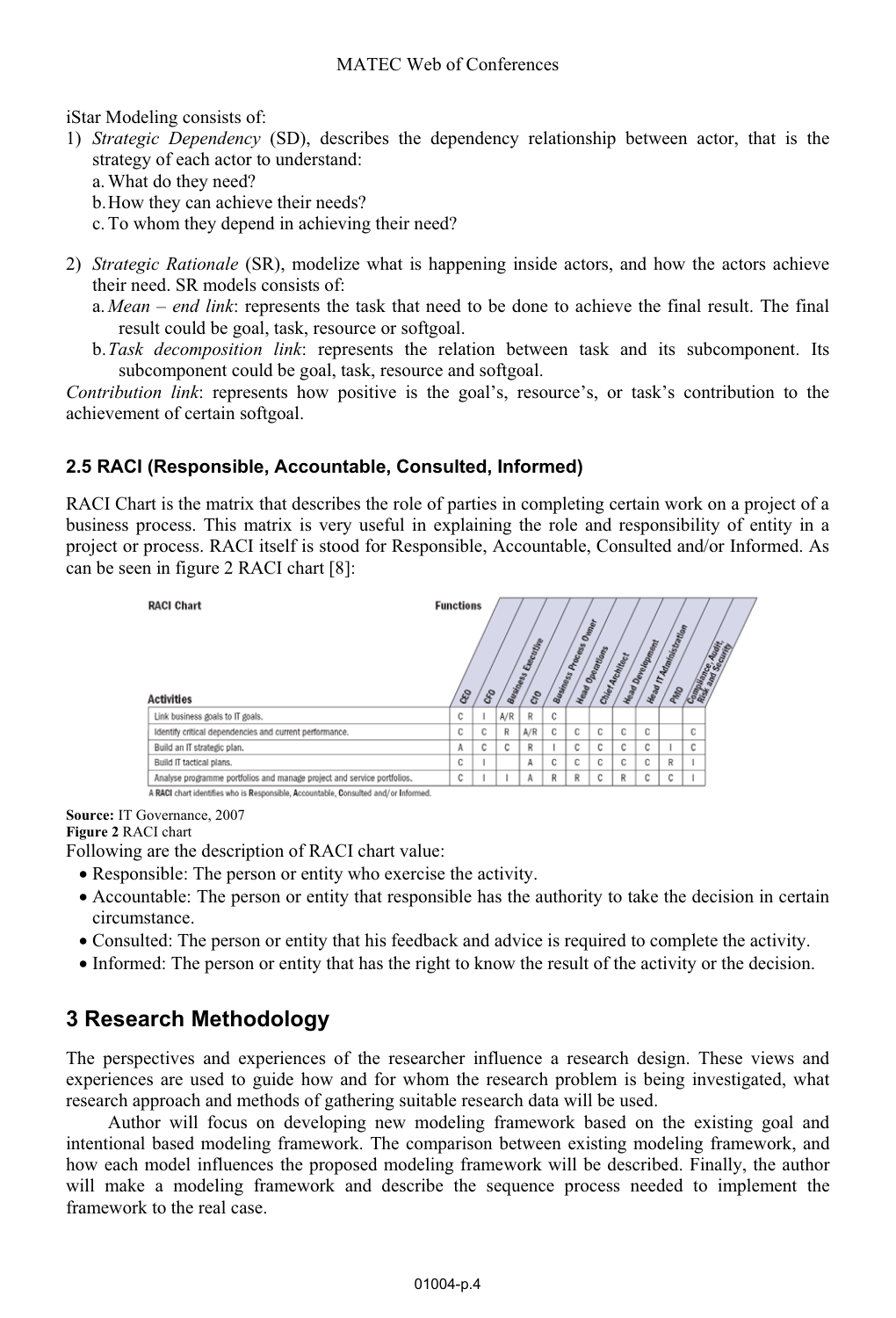iStar Modeling consists of:

- 1) *Strategic Dependency* (SD), describes the dependency relationship between actor, that is the strategy of each actor to understand:
	- a.What do they need?
	- b.How they can achieve their needs?
	- c.To whom they depend in achieving their need?
- 2) *Strategic Rationale* (SR), modelize what is happening inside actors, and how the actors achieve their need. SR models consists of:
	- a. *Mean – end link*: represents the task that need to be done to achieve the final result. The final result could be goal, task, resource or softgoal.
	- b.*Task decomposition link*: represents the relation between task and its subcomponent. Its subcomponent could be goal, task, resource and softgoal.

*Contribution link*: represents how positive is the goal's, resource's, or task's contribution to the achievement of certain softgoal.

### **2.5 RACI (Responsible, Accountable, Consulted, Informed)**

RACI Chart is the matrix that describes the role of parties in completing certain work on a project of a business process. This matrix is very useful in explaining the role and responsibility of entity in a project or process. RACI itself is stood for Responsible, Accountable, Consulted and/or Informed. As can be seen in figure 2 RACI chart [8]:



**Source:** IT Governance, 2007 **Figure 2** RACI chart

Following are the description of RACI chart value:

- Responsible: The person or entity who exercise the activity.
- Accountable: The person or entity that responsible has the authority to take the decision in certain circumstance.
- Consulted: The person or entity that his feedback and advice is required to complete the activity.
- Informed: The person or entity that has the right to know the result of the activity or the decision.

# **3 Research Methodology**

The perspectives and experiences of the researcher influence a research design. These views and experiences are used to guide how and for whom the research problem is being investigated, what research approach and methods of gathering suitable research data will be used.

Author will focus on developing new modeling framework based on the existing goal and intentional based modeling framework. The comparison between existing modeling framework, and how each model influences the proposed modeling framework will be described. Finally, the author will make a modeling framework and describe the sequence process needed to implement the framework to the real case.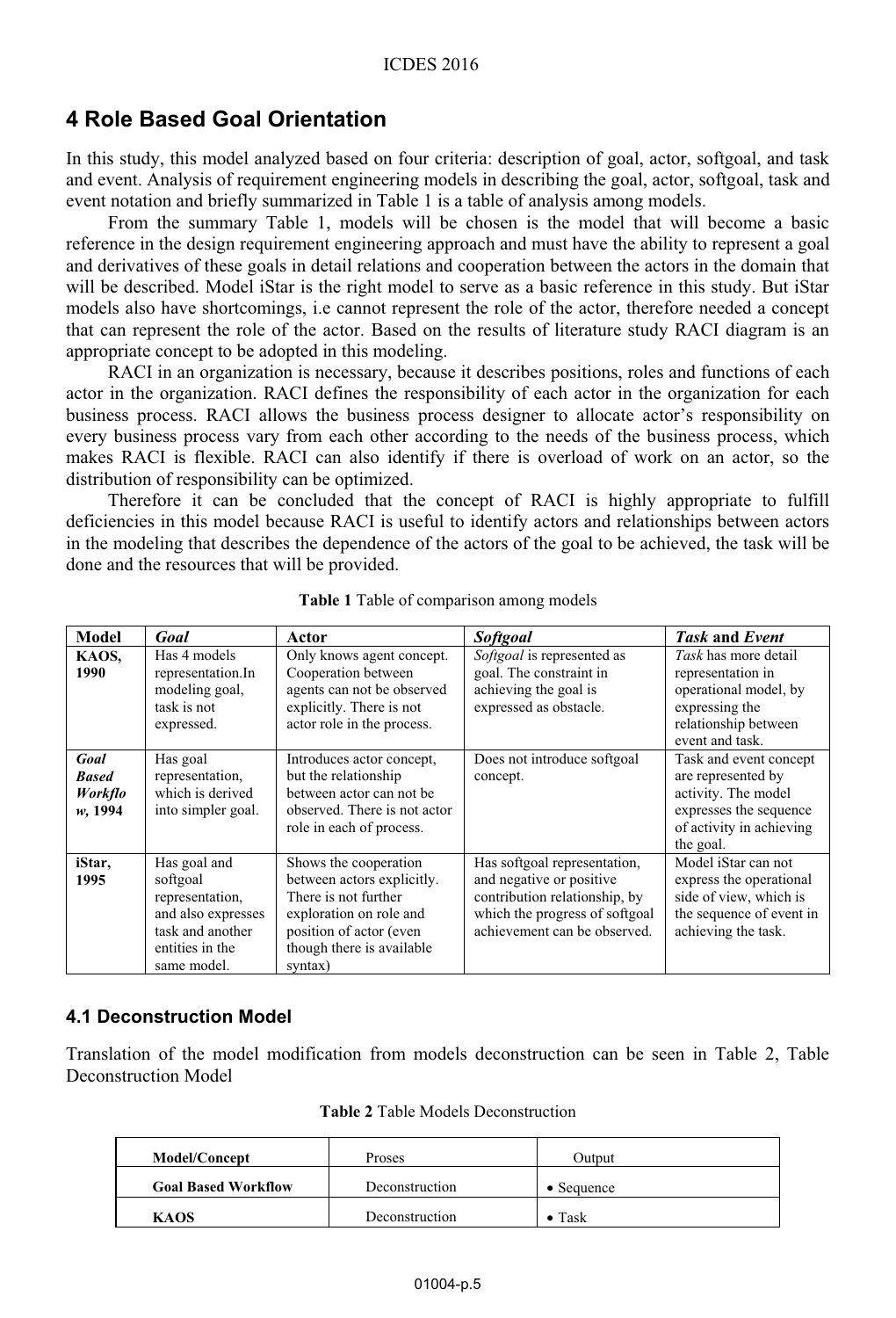# **4 Role Based Goal Orientation**

In this study, this model analyzed based on four criteria: description of goal, actor, softgoal, and task and event. Analysis of requirement engineering models in describing the goal, actor, softgoal, task and event notation and briefly summarized in Table 1 is a table of analysis among models.

From the summary Table 1, models will be chosen is the model that will become a basic reference in the design requirement engineering approach and must have the ability to represent a goal and derivatives of these goals in detail relations and cooperation between the actors in the domain that will be described. Model iStar is the right model to serve as a basic reference in this study. But iStar models also have shortcomings, i.e cannot represent the role of the actor, therefore needed a concept that can represent the role of the actor. Based on the results of literature study RACI diagram is an appropriate concept to be adopted in this modeling.

RACI in an organization is necessary, because it describes positions, roles and functions of each actor in the organization. RACI defines the responsibility of each actor in the organization for each business process. RACI allows the business process designer to allocate actor's responsibility on every business process vary from each other according to the needs of the business process, which makes RACI is flexible. RACI can also identify if there is overload of work on an actor, so the distribution of responsibility can be optimized.

Therefore it can be concluded that the concept of RACI is highly appropriate to fulfill deficiencies in this model because RACI is useful to identify actors and relationships between actors in the modeling that describes the dependence of the actors of the goal to be achieved, the task will be done and the resources that will be provided.

| Model                                      | Goal                                                                                                                    | Actor                                                                                                                                                                     | Softgoal                                                                                                                                                    | Task and Event                                                                                                                         |
|--------------------------------------------|-------------------------------------------------------------------------------------------------------------------------|---------------------------------------------------------------------------------------------------------------------------------------------------------------------------|-------------------------------------------------------------------------------------------------------------------------------------------------------------|----------------------------------------------------------------------------------------------------------------------------------------|
| KAOS,<br>1990                              | Has 4 models<br>representation.In<br>modeling goal,<br>task is not<br>expressed.                                        | Only knows agent concept.<br>Cooperation between<br>agents can not be observed<br>explicitly. There is not<br>actor role in the process.                                  | Softgoal is represented as<br>goal. The constraint in<br>achieving the goal is<br>expressed as obstacle.                                                    | Task has more detail<br>representation in<br>operational model, by<br>expressing the<br>relationship between<br>event and task.        |
| Goal<br><b>Based</b><br>Workflo<br>w, 1994 | Has goal<br>representation.<br>which is derived<br>into simpler goal.                                                   | Introduces actor concept,<br>but the relationship<br>between actor can not be<br>observed. There is not actor<br>role in each of process.                                 | Does not introduce softgoal<br>concept.                                                                                                                     | Task and event concept<br>are represented by<br>activity. The model<br>expresses the sequence<br>of activity in achieving<br>the goal. |
| iStar,<br>1995                             | Has goal and<br>softgoal<br>representation,<br>and also expresses<br>task and another<br>entities in the<br>same model. | Shows the cooperation<br>between actors explicitly.<br>There is not further<br>exploration on role and<br>position of actor (even<br>though there is available<br>syntax) | Has softgoal representation,<br>and negative or positive<br>contribution relationship, by<br>which the progress of softgoal<br>achievement can be observed. | Model iStar can not<br>express the operational<br>side of view, which is<br>the sequence of event in<br>achieving the task.            |

**Table 1** Table of comparison among models

#### **4.1 Deconstruction Model**

Translation of the model modification from models deconstruction can be seen in Table 2, Table Deconstruction Model

|  | <b>Table 2</b> Table Models Deconstruction |
|--|--------------------------------------------|
|  |                                            |

| Model/Concept              | Proses         | Output             |  |
|----------------------------|----------------|--------------------|--|
| <b>Goal Based Workflow</b> | Deconstruction | $\bullet$ Sequence |  |
| <b>KAOS</b>                | Deconstruction | $\bullet$ Task     |  |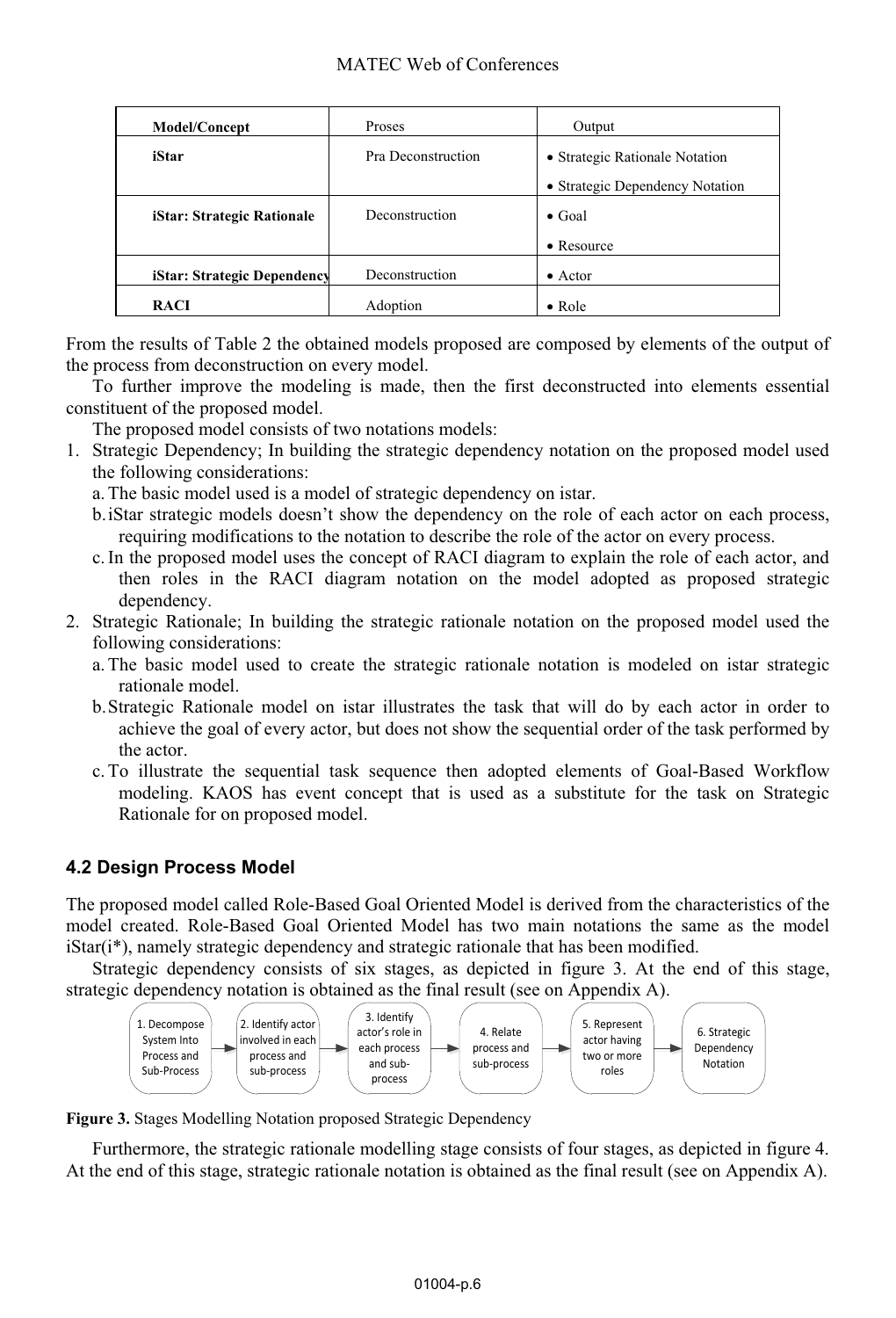| Model/Concept               | Proses             | Output                          |
|-----------------------------|--------------------|---------------------------------|
| iStar                       | Pra Deconstruction | • Strategic Rationale Notation  |
|                             |                    | • Strategic Dependency Notation |
| iStar: Strategic Rationale  | Deconstruction     | $\bullet$ Goal                  |
|                             |                    | $\bullet$ Resource              |
| iStar: Strategic Dependency | Deconstruction     | $\bullet$ Actor                 |
| <b>RACI</b>                 | Adoption           | $\bullet$ Role                  |

From the results of Table 2 the obtained models proposed are composed by elements of the output of the process from deconstruction on every model.

To further improve the modeling is made, then the first deconstructed into elements essential constituent of the proposed model.

The proposed model consists of two notations models:

- 1. Strategic Dependency; In building the strategic dependency notation on the proposed model used the following considerations:
	- a.The basic model used is a model of strategic dependency on istar.
	- b.iStar strategic models doesn't show the dependency on the role of each actor on each process, requiring modifications to the notation to describe the role of the actor on every process.
	- c.In the proposed model uses the concept of RACI diagram to explain the role of each actor, and then roles in the RACI diagram notation on the model adopted as proposed strategic dependency.
- 2. Strategic Rationale; In building the strategic rationale notation on the proposed model used the following considerations:
	- a.The basic model used to create the strategic rationale notation is modeled on istar strategic rationale model.
	- b.Strategic Rationale model on istar illustrates the task that will do by each actor in order to achieve the goal of every actor, but does not show the sequential order of the task performed by the actor.
	- c.To illustrate the sequential task sequence then adopted elements of Goal-Based Workflow modeling. KAOS has event concept that is used as a substitute for the task on Strategic Rationale for on proposed model.

#### **4.2 Design Process Model**

The proposed model called Role-Based Goal Oriented Model is derived from the characteristics of the model created. Role-Based Goal Oriented Model has two main notations the same as the model  $iStart(i*)$ , namely strategic dependency and strategic rationale that has been modified.

Strategic dependency consists of six stages, as depicted in figure 3. At the end of this stage, strategic dependency notation is obtained as the final result (see on Appendix A).



**Figure 3.** Stages Modelling Notation proposed Strategic Dependency

Furthermore, the strategic rationale modelling stage consists of four stages, as depicted in figure 4. At the end of this stage, strategic rationale notation is obtained as the final result (see on Appendix A).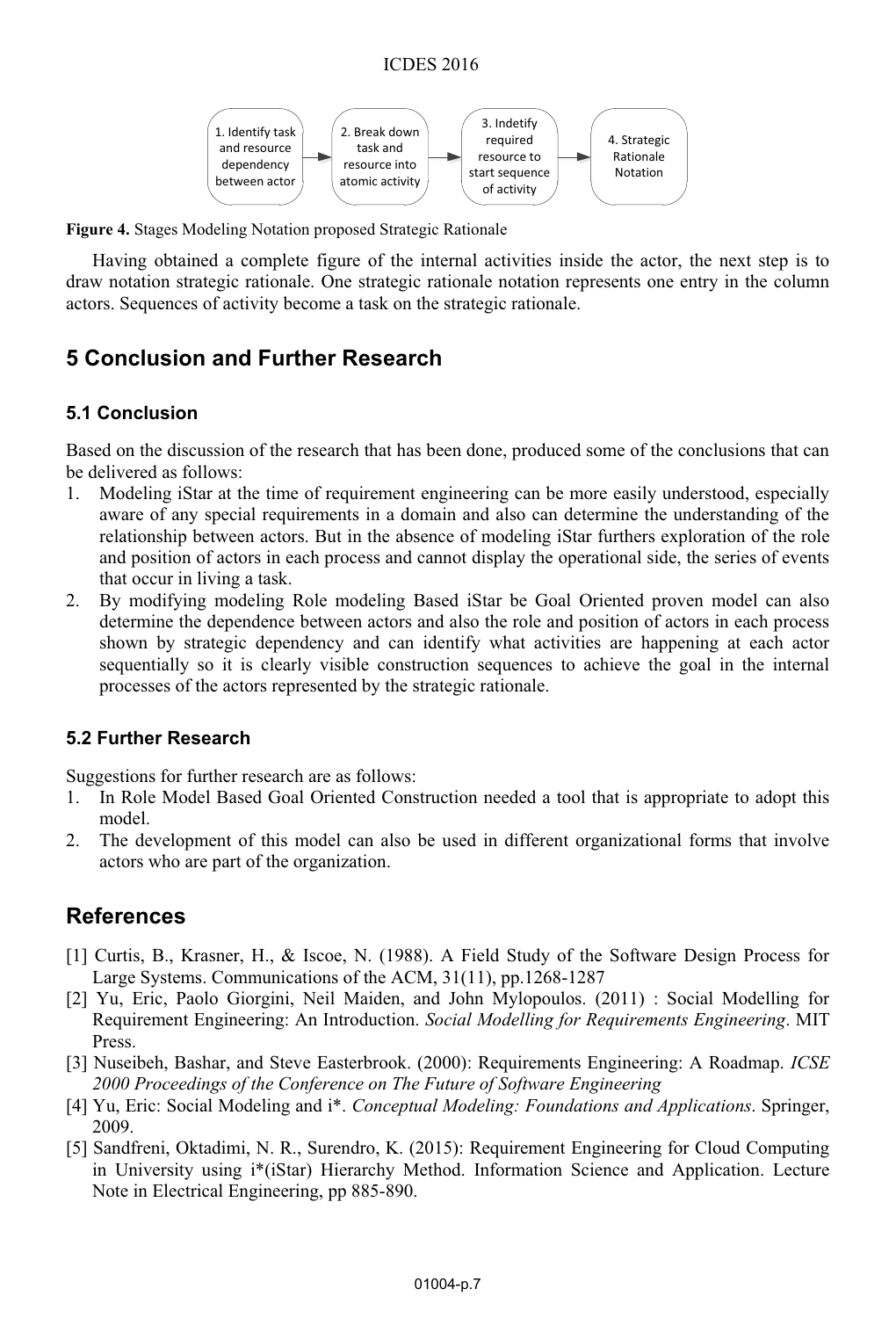#### ICDES 2016



**Figure 4.** Stages Modeling Notation proposed Strategic Rationale

Having obtained a complete figure of the internal activities inside the actor, the next step is to draw notation strategic rationale. One strategic rationale notation represents one entry in the column actors. Sequences of activity become a task on the strategic rationale.

# **5 Conclusion and Further Research**

### **5.1 Conclusion**

Based on the discussion of the research that has been done, produced some of the conclusions that can be delivered as follows:

- 1. Modeling iStar at the time of requirement engineering can be more easily understood, especially aware of any special requirements in a domain and also can determine the understanding of the relationship between actors. But in the absence of modeling iStar furthers exploration of the role and position of actors in each process and cannot display the operational side, the series of events that occur in living a task.
- 2. By modifying modeling Role modeling Based iStar be Goal Oriented proven model can also determine the dependence between actors and also the role and position of actors in each process shown by strategic dependency and can identify what activities are happening at each actor sequentially so it is clearly visible construction sequences to achieve the goal in the internal processes of the actors represented by the strategic rationale.

### **5.2 Further Research**

Suggestions for further research are as follows:

- 1. In Role Model Based Goal Oriented Construction needed a tool that is appropriate to adopt this model.
- 2. The development of this model can also be used in different organizational forms that involve actors who are part of the organization.

## **References**

- [1] Curtis, B., Krasner, H., & Iscoe, N. (1988). A Field Study of the Software Design Process for Large Systems. Communications of the ACM, 31(11), pp.1268-1287
- [2] Yu, Eric, Paolo Giorgini, Neil Maiden, and John Mylopoulos. (2011) : Social Modelling for Requirement Engineering: An Introduction. *Social Modelling for Requirements Engineering*. MIT Press.
- [3] Nuseibeh, Bashar, and Steve Easterbrook. (2000): Requirements Engineering: A Roadmap. *ICSE 2000 Proceedings of the Conference on The Future of Software Engineering*
- [4] Yu, Eric: Social Modeling and i\*. *Conceptual Modeling: Foundations and Applications*. Springer, 2009.
- [5] Sandfreni, Oktadimi, N. R., Surendro, K. (2015): Requirement Engineering for Cloud Computing in University using i\*(iStar) Hierarchy Method. Information Science and Application. Lecture Note in Electrical Engineering, pp 885-890.